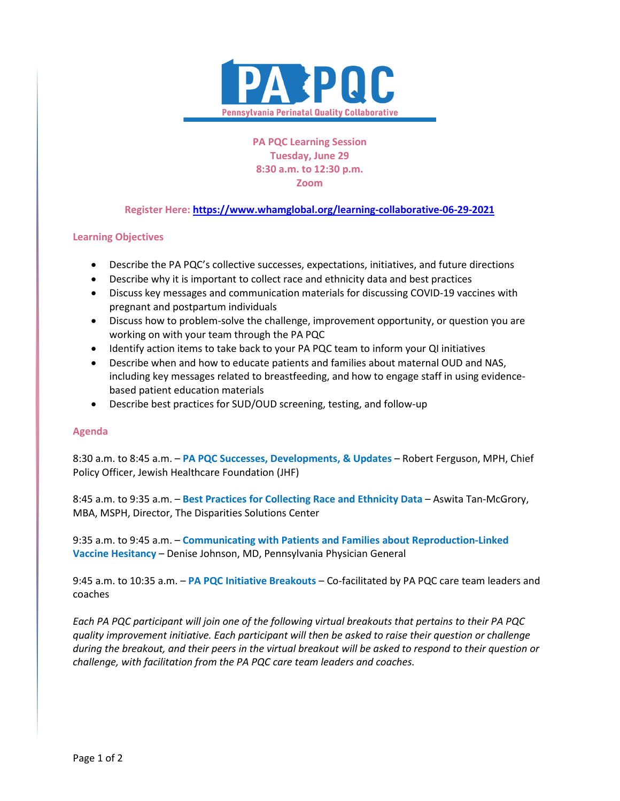

**PA PQC Learning Session Tuesday, June 29 8:30 a.m. to 12:30 p.m. Zoom**

## **Register Here[: https://www.whamglobal.org/learning-collaborative-06-29-2021](https://www.whamglobal.org/learning-collaborative-06-29-2021)**

## **Learning Objectives**

- Describe the PA PQC's collective successes, expectations, initiatives, and future directions
- Describe why it is important to collect race and ethnicity data and best practices
- Discuss key messages and communication materials for discussing COVID-19 vaccines with pregnant and postpartum individuals
- Discuss how to problem-solve the challenge, improvement opportunity, or question you are working on with your team through the PA PQC
- Identify action items to take back to your PA PQC team to inform your QI initiatives
- Describe when and how to educate patients and families about maternal OUD and NAS, including key messages related to breastfeeding, and how to engage staff in using evidencebased patient education materials
- Describe best practices for SUD/OUD screening, testing, and follow-up

## **Agenda**

8:30 a.m. to 8:45 a.m. – **PA PQC Successes, Developments, & Updates** – Robert Ferguson, MPH, Chief Policy Officer, Jewish Healthcare Foundation (JHF)

8:45 a.m. to 9:35 a.m. – **Best Practices for Collecting Race and Ethnicity Data** – Aswita Tan-McGrory, MBA, MSPH, Director, The Disparities Solutions Center

9:35 a.m. to 9:45 a.m. – **Communicating with Patients and Families about Reproduction-Linked Vaccine Hesitancy** – Denise Johnson, MD, Pennsylvania Physician General

9:45 a.m. to 10:35 a.m. – **PA PQC Initiative Breakouts** – Co-facilitated by PA PQC care team leaders and coaches

*Each PA PQC participant will join one of the following virtual breakouts that pertains to their PA PQC quality improvement initiative. Each participant will then be asked to raise their question or challenge during the breakout, and their peers in the virtual breakout will be asked to respond to their question or challenge, with facilitation from the PA PQC care team leaders and coaches.*